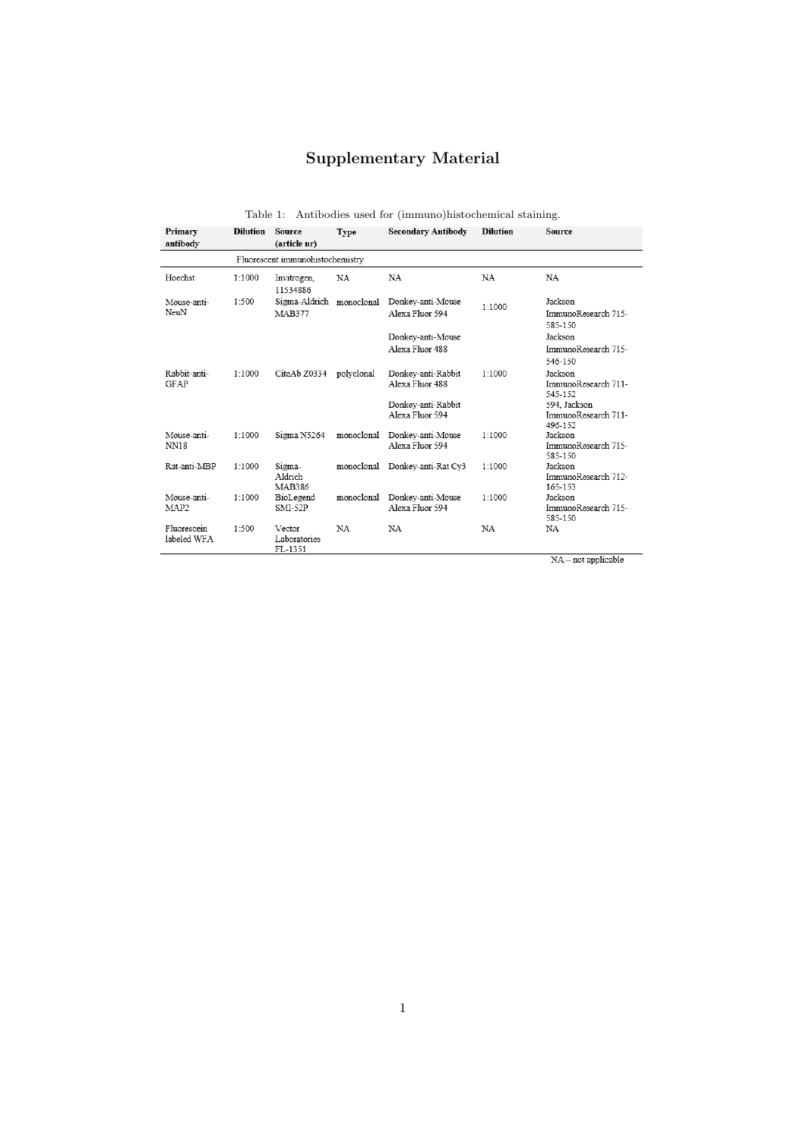## Supplementary Material

## Table 1: Antibodies used for (immuno)histochemical staining.

| Primary<br><b>Dilution</b><br>antibody |        | Source<br>(article nr)                    | Type       | Secondary Antibody                                                             | <b>Dilution</b> | Source                                                                                      |  |  |  |  |
|----------------------------------------|--------|-------------------------------------------|------------|--------------------------------------------------------------------------------|-----------------|---------------------------------------------------------------------------------------------|--|--|--|--|
|                                        |        | Fluorescent immunohistochemistry          |            |                                                                                |                 |                                                                                             |  |  |  |  |
| Hoechst                                | 1:1000 | Invitrogen,<br>11534886                   | NA         | NA                                                                             | NA              | NA                                                                                          |  |  |  |  |
| Mouse-anti-<br>NeuN                    | 1:500  | Sigma-Aldrich monoclonal<br><b>MAB377</b> |            | Donkey-anti-Mouse<br>Alexa Fluor 594                                           | 1:1000          | Jackson<br>ImmunoResearch 715-<br>585-150                                                   |  |  |  |  |
|                                        |        |                                           |            | Donkey-anti-Mouse<br>Alexa Fluor 488                                           |                 | Jackson<br>ImmunoResearch 715-<br>546-150                                                   |  |  |  |  |
| Rabbit-anti-<br><b>GFAP</b>            | 1:1000 | CiteAb Z0334                              | polyclonal | Donkey-anti-Rabbit<br>Alexa Fluor 488<br>Donkey-anti-Rabbit<br>Alexa Fluor 594 | 1:1000          | Jackson<br>ImmunoResearch 711-<br>545-152<br>594, Jackson<br>ImmunoResearch 711-<br>496-152 |  |  |  |  |
| Mouse-anti-<br>NN18                    | 1:1000 | Sigma N5264                               | monoclonal | Donkey-anti-Mouse<br>Alexa Fluor 594                                           | 1:1000          | Jackson<br>ImmunoResearch 715-<br>585-150                                                   |  |  |  |  |
| Rat-anti-MBP                           | 1:1000 | Sigma-<br>Aldrich<br><b>MAB386</b>        | monoclonal | Donkey-anti-Rat Cy3                                                            | 1:1000          | Jackson<br>ImmunoResearch 712-<br>165-153                                                   |  |  |  |  |
| Mouse-anti-<br>MAP <sub>2</sub>        | 1:1000 | BioLegend<br>$SMI-52P$                    | monoclonal | Donkey-anti-Mouse<br>Alexa Fluor 594                                           | 1:1000          | Jackson<br>ImmunoResearch 715-<br>585-150                                                   |  |  |  |  |
| Fluorescein<br>labeled WFA             | 1:500  | Vector<br>Laboratories<br>FL-1351         | NA         | <b>NA</b>                                                                      | NA              | NA                                                                                          |  |  |  |  |

 $NA$  – not applicable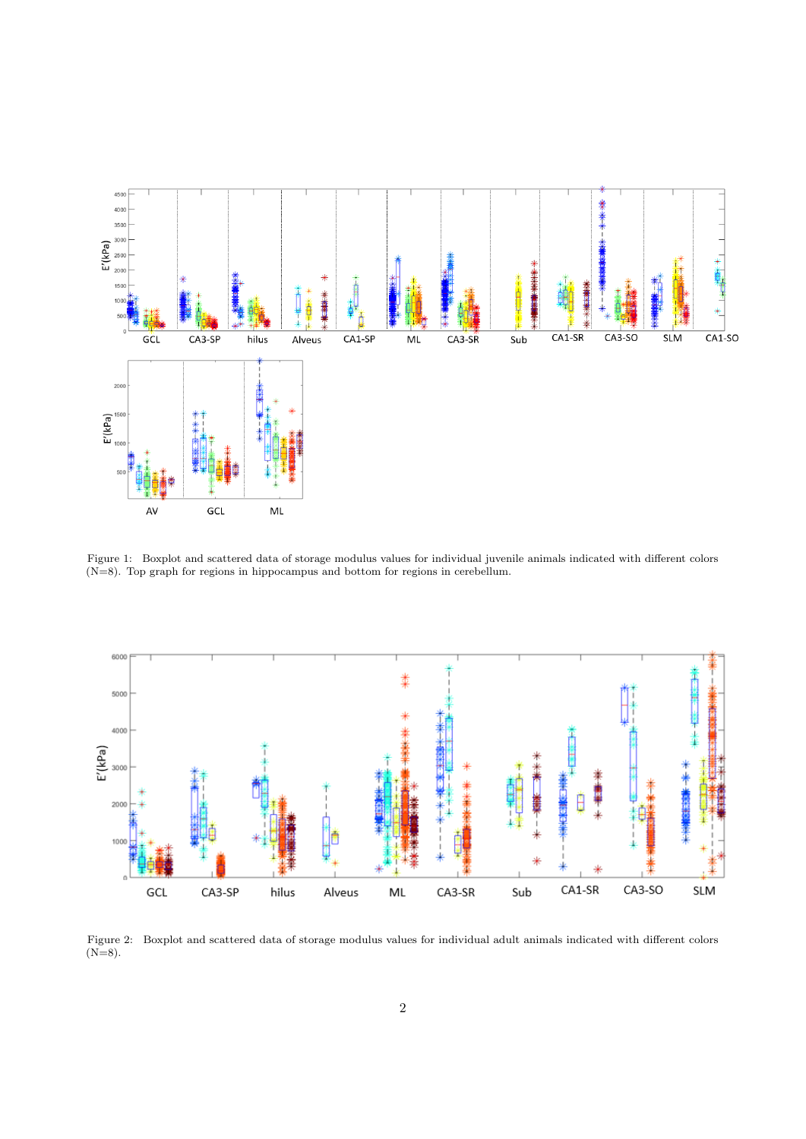

Figure 1: Boxplot and scattered data of storage modulus values for individual juvenile animals indicated with different colors (N=8). Top graph for regions in hippocampus and bottom for regions in cerebellum.



Figure 2: Boxplot and scattered data of storage modulus values for individual adult animals indicated with different colors  $(N=8)$ .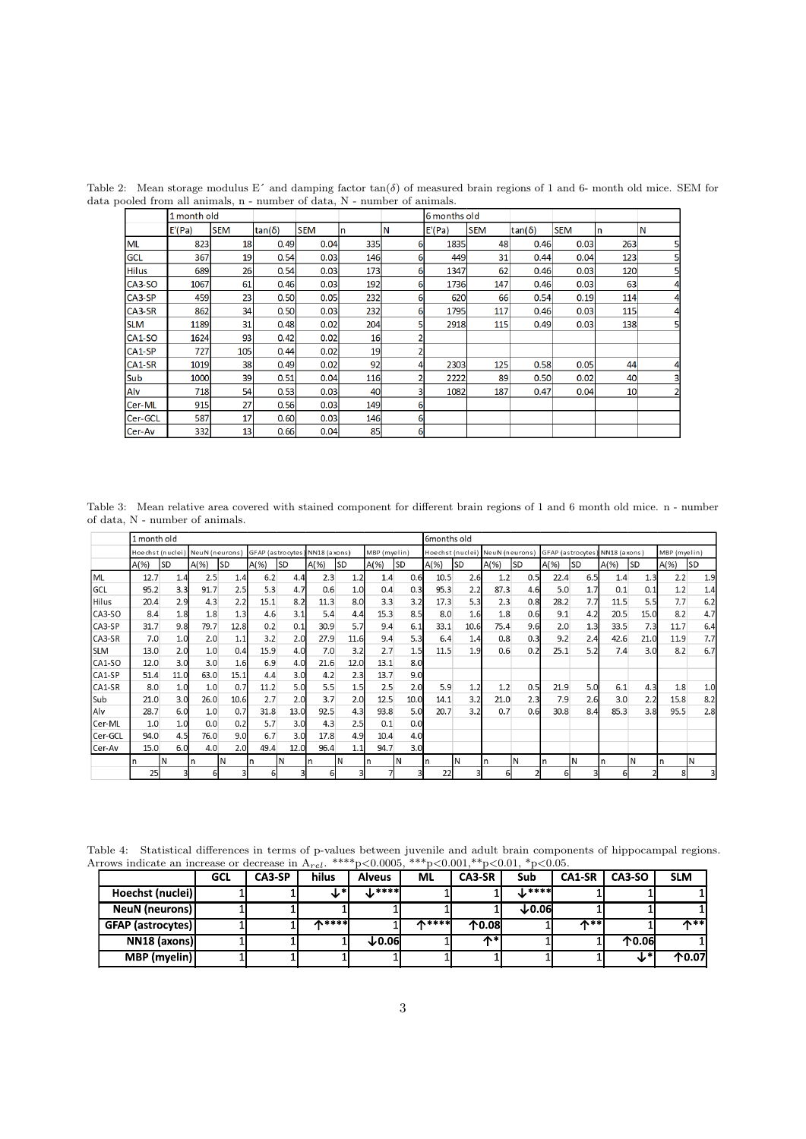|              | 1 month old |            |        |            |     |    | 6 months old |            |        |            |                 |                |
|--------------|-------------|------------|--------|------------|-----|----|--------------|------------|--------|------------|-----------------|----------------|
|              | E'(Pa)      | <b>SEM</b> | tan(δ) | <b>SEM</b> | n   | ΙN | E'(Pa)       | <b>SEM</b> | tan(δ) | <b>SEM</b> | In.             | IN             |
| <b>ML</b>    | 823         | 18         | 0.49   | 0.04       | 335 | 6  | 1835         | 48         | 0.46   | 0.03       | 263             | 5              |
| <b>GCL</b>   | 367         | 19         | 0.54   | 0.03       | 146 | 6  | 449          | 31         | 0.44   | 0.04       | 123             | 5              |
| <b>Hilus</b> | 689         | 26         | 0.54   | 0.03       | 173 | 6  | 1347         | 62         | 0.46   | 0.03       | 120             | 5              |
| CA3-SO       | 1067        | 61         | 0.46   | 0.03       | 192 | 6  | 1736         | 147        | 0.46   | 0.03       | 63              | 4              |
| CA3-SP       | 459         | 23         | 0.50   | 0.05       | 232 | 6  | 620          | 66         | 0.54   | 0.19       | 114             | 4              |
| CA3-SR       | 862         | 34         | 0.50   | 0.03       | 232 | 6  | 1795         | 117        | 0.46   | 0.03       | 115             | 4              |
| <b>SLM</b>   | 1189        | 31         | 0.48   | 0.02       | 204 |    | 2918         | 115        | 0.49   | 0.03       | 138             | 5              |
| CA1-SO       | 1624        | 93         | 0.42   | 0.02       | 16  |    |              |            |        |            |                 |                |
| CA1-SP       | 727         | 105        | 0.44   | 0.02       | 19  |    |              |            |        |            |                 |                |
| CA1-SR       | 1019        | 38         | 0.49   | 0.02       | 92  |    | 2303         | 125        | 0.58   | 0.05       | 44              | 4              |
| Sub          | 1000        | 39         | 0.51   | 0.04       | 116 |    | 2222         | 89         | 0.50   | 0.02       | 40              | 3              |
| Alv          | 718         | 54         | 0.53   | 0.03       | 40  |    | 1082         | 187        | 0.47   | 0.04       | 10 <sup>1</sup> | $\overline{2}$ |
| Cer-ML       | 915         | 27         | 0.56   | 0.03       | 149 | 6  |              |            |        |            |                 |                |
| Cer-GCL      | 587         | 17         | 0.60   | 0.03       | 146 | 6  |              |            |        |            |                 |                |
| Cer-Av       | 332         | 13         | 0.66   | 0.04       | 85  | 6  |              |            |        |            |                 |                |

Table 2: Mean storage modulus E' and damping factor  $tan(\delta)$  of measured brain regions of 1 and 6- month old mice. SEM for data pooled from all animals, n - number of data, N - number of animals.

Table 3: Mean relative area covered with stained component for different brain regions of 1 and 6 month old mice. n - number of data, N - number of animals.

|            | 1 month old |           |                                 |           |         |                                                |         |           |         | 6months old                     |      |           |                  |           |              |           |              |           |         |           |
|------------|-------------|-----------|---------------------------------|-----------|---------|------------------------------------------------|---------|-----------|---------|---------------------------------|------|-----------|------------------|-----------|--------------|-----------|--------------|-----------|---------|-----------|
|            |             |           | Hoechst (nuclei) NeuN (neurons) |           |         | GFAP (astrocytes) NN18 (axons)<br>MBP (myelin) |         |           |         | Hoechst (nuclei) NeuN (neurons) |      |           | GFAP (astrocytes |           | NN18 (axons) |           | MBP (myelin) |           |         |           |
|            | $A(\%)$     | <b>SD</b> | $A(\%)$                         | <b>SD</b> | $A(\%)$ | <b>SD</b>                                      | $A(\%)$ | <b>SD</b> | $A(\%)$ | <b>SD</b>                       | A(%) | <b>SD</b> | $A(\%)$          | <b>SD</b> | $A(\%)$      | <b>SD</b> | $A(\%)$      | <b>SD</b> | $A(\%)$ | <b>SD</b> |
| ML         | 12.7        | 1.4       | 2.5                             | 1.4       | 6.2     | 4.4                                            | 2.3     | 1.2       | 1.4     | 0.6                             | 10.5 | 2.6       | 1.2              | 0.5       | 22.4         | 6.5       | 1.4          | 1.3       | 2.2     | 1.9       |
| GCL        | 95.2        | 3.3       | 91.7                            | 2.5       | 5.3     | 4.7                                            | 0.6     | 1.0       | 0.4     | 0.3                             | 95.3 | 2.2       | 87.3             | 4.6       | 5.0          | 1.7       | 0.1          | 0.1       | 1.2     | 1.4       |
| Hilus      | 20.4        | 2.9       | 4.3                             | 2.2       | 15.1    | 8.2                                            | 11.3    | 8.0       | 3.3     | 3.2                             | 17.3 | 5.3       | 2.3              | 0.8       | 28.2         | 7.7       | 11.5         | 5.5       | 7.7     | 6.2       |
| CA3-SO     | 8.4         | 1.8       | 1.8                             | 1.3       | 4.6     | 3.1                                            | 5.4     | 4.4       | 15.3    | 8.5                             | 8.0  | 1.6       | 1.8              | 0.6       | 9.1          | 4.2       | 20.5         | 15.0      | 8.2     | 4.7       |
| CA3-SP     | 31.7        | 9.8       | 79.7                            | 12.8      | 0.2     | 0.1                                            | 30.9    | 5.7       | 9.4     | 6.1                             | 33.1 | 10.6      | 75.4             | 9.6       | 2.0          | 1.3       | 33.5         | 7.3       | 11.7    | 6.4       |
| CA3-SR     | 7.0         | 1.0       | 2.0                             | 1.1       | 3.2     | 2.0                                            | 27.9    | 11.6      | 9.4     | 5.3                             | 6.4  | 1.4       | 0.8              | 0.3       | 9.2          | 2.4       | 42.6         | 21.0      | 11.9    | 7.7       |
| <b>SLM</b> | 13.0        | 2.0       | 1.0                             | 0.4       | 15.9    | 4.0                                            | 7.0     | 3.2       | 2.7     | 1.5                             | 11.5 | 1.9       | 0.6              | 0.2       | 25.1         | 5.2       | 7.4          | 3.0       | 8.2     | 6.7       |
| CA1-SO     | 12.0        | 3.0       | 3.0                             | 1.6       | 6.9     | 4.0                                            | 21.6    | 12.0      | 13.1    | 8.0                             |      |           |                  |           |              |           |              |           |         |           |
| CA1-SP     | 51.4        | 11.0      | 63.0                            | 15.1      | 4.4     | 3.0                                            | 4.2     | 2.3       | 13.7    | 9.0                             |      |           |                  |           |              |           |              |           |         |           |
| CA1-SR     | 8.0         | 1.0       | 1.0                             | 0.7       | 11.2    | 5.0                                            | 5.5     | 1.5       | 2.5     | 2.0                             | 5.9  | 1.2       | 1.2              | 0.5       | 21.9         | 5.0       | 6.1          | 4.3       | 1.8     | 1.0       |
| Sub        | 21.0        | 3.0       | 26.0                            | 10.6      | 2.7     | 2.0                                            | 3.7     | 2.0       | 12.5    | 10.0                            | 14.1 | 3.2       | 21.0             | 2.3       | 7.9          | 2.6       | 3.0          | 2.2       | 15.8    | 8.2       |
| Alv        | 28.7        | 6.0       | 1.0                             | 0.7       | 31.8    | 13.0                                           | 92.5    | 4.3       | 93.8    | 5.0                             | 20.7 | 3.2       | 0.7              | 0.6       | 30.8         | 8.4       | 85.3         | 3.8       | 95.5    | 2.8       |
| Cer-ML     | 1.0         | 1.0       | 0.0                             | 0.2       | 5.7     | 3.0                                            | 4.3     | 2.5       | 0.1     | 0.0                             |      |           |                  |           |              |           |              |           |         |           |
| Cer-GCL    | 94.0        | 4.5       | 76.0                            | 9.0       | 6.7     | 3.0                                            | 17.8    | 4.9       | 10.4    | 4.0                             |      |           |                  |           |              |           |              |           |         |           |
| Cer-Av     | 15.0        | 6.0       | 4.0                             | 2.0       | 49.4    | 12.0                                           | 96.4    | 1.1       | 94.7    | 3.0                             |      |           |                  |           |              |           |              |           |         |           |
|            |             | N         | In                              | ΙN        | n       | ΙN                                             | In      | N         | n       | N                               | n    | IN.       | n                | IN        | In           | N         | n            | ΙN        | n       | ΙN        |
|            | 25          |           | 6                               |           | 61      |                                                | 61      |           |         |                                 | 22   | 3         | 6                |           | ы            |           | 6            |           |         |           |

Table 4: Statistical differences in terms of p-values between juvenile and adult brain components of hippocampal regions. Arrows indicate an increase or decrease in  $A_{rel.}$  \*\*\*\*p<0.0005, \*\*\*p<0.001,\*\*p<0.01, \*p<0.05.

|                   | GCL | CA3-SP | hilus         | <b>Alveus</b> | ML            | CA3-SR | Sub               | CA1-SR          | CA3-SO         | <b>SLM</b>     |
|-------------------|-----|--------|---------------|---------------|---------------|--------|-------------------|-----------------|----------------|----------------|
| Hoechst (nuclei)  |     |        | √.∗ ∖         | $1$ ****      |               |        | $\mathbf{L}$ **** |                 |                |                |
| NeuN (neurons)    |     |        |               |               |               |        | $+0.06$           |                 |                |                |
| GFAP (astrocytes) |     |        | <b>A</b> **** |               | <b>A****I</b> | 个0.08  |                   | $\mathbf{A}$ ** |                | $\bigwedge$ ** |
| NN18 (axons)      |     |        |               | $+0.06$       |               | ∧∗     |                   |                 | $\Lambda$ 0.06 |                |
| MBP (myelin)      |     |        |               |               |               |        |                   |                 | ◡              | 个0.07          |